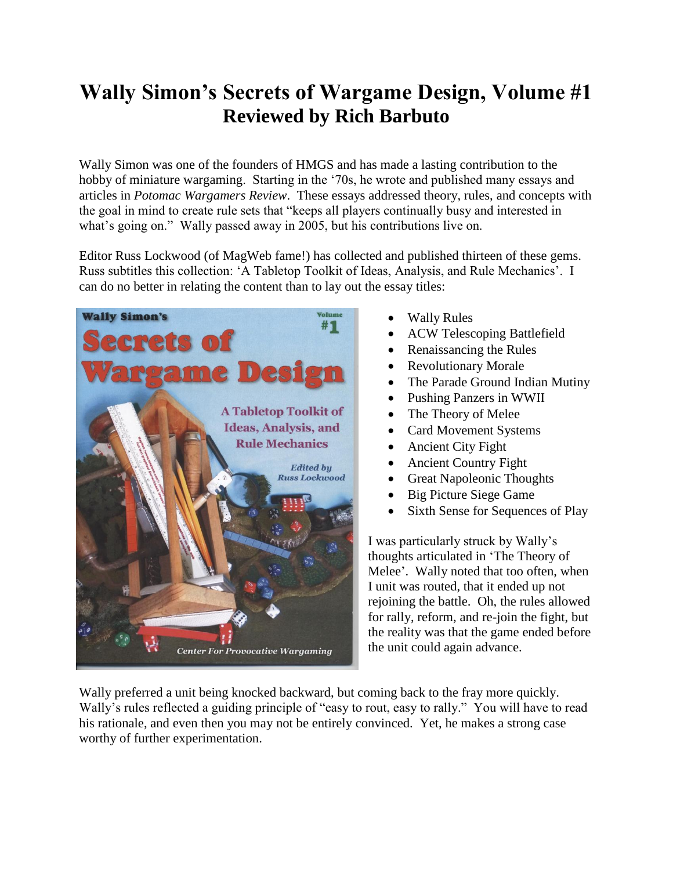## **Wally Simon's Secrets of Wargame Design, Volume #1 Reviewed by Rich Barbuto**

Wally Simon was one of the founders of HMGS and has made a lasting contribution to the hobby of miniature wargaming. Starting in the '70s, he wrote and published many essays and articles in *Potomac Wargamers Review*. These essays addressed theory, rules, and concepts with the goal in mind to create rule sets that "keeps all players continually busy and interested in what's going on." Wally passed away in 2005, but his contributions live on.

Editor Russ Lockwood (of MagWeb fame!) has collected and published thirteen of these gems. Russ subtitles this collection: 'A Tabletop Toolkit of Ideas, Analysis, and Rule Mechanics'. I can do no better in relating the content than to lay out the essay titles:



- Wally Rules
- ACW Telescoping Battlefield
- Renaissancing the Rules
- Revolutionary Morale
- The Parade Ground Indian Mutiny
- Pushing Panzers in WWII
- The Theory of Melee
- Card Movement Systems
- Ancient City Fight
- Ancient Country Fight
- Great Napoleonic Thoughts
- Big Picture Siege Game
- Sixth Sense for Sequences of Play

I was particularly struck by Wally's thoughts articulated in 'The Theory of Melee'. Wally noted that too often, when I unit was routed, that it ended up not rejoining the battle. Oh, the rules allowed for rally, reform, and re-join the fight, but the reality was that the game ended before the unit could again advance.

Wally preferred a unit being knocked backward, but coming back to the fray more quickly. Wally's rules reflected a guiding principle of "easy to rout, easy to rally." You will have to read his rationale, and even then you may not be entirely convinced. Yet, he makes a strong case worthy of further experimentation.